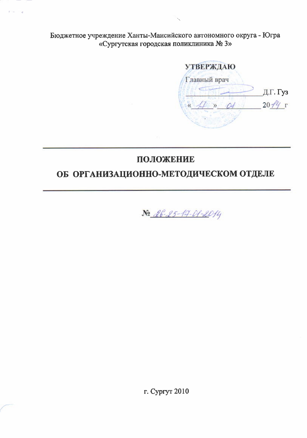Бюджетное учреждение Ханты-Мансийского автономного округа - Югра «Сургутская городская поликлиника № 3»

**УТВЕРЖДАЮ** Главный врач Д.Г. Гуз  $20 - f'$  $\mathcal{P}$  $\alpha$ 

# ПОЛОЖЕНИЕ

# ОБ ОРГАНИЗАЦИОННО-МЕТОДИЧЕСКОМ ОТДЕЛЕ



г. Сургут 2010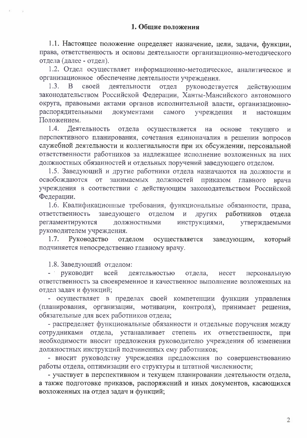1.1. Настоящее положение определяет назначение, цели, задачи, функции, права, ответственность и основы деятельности организационно-методического отдела (далее - отдел).

1.2. Отдел осуществляет информационно-методическое, аналитическое и организационное обеспечение деятельности учреждения.

деятельности отдел руководствуется действующим  $1.3.$  $\mathbf{B}$ своей законодательством Российской Федерации, Ханты-Мансийского автономного округа, правовыми актами органов исполнительной власти, организационнораспорядительными документами самого учреждения  $\overline{M}$ настояшим Положением.

1.4. Деятельность отдела осуществляется на основе текущего  $\overline{\mathbf{M}}$ перспективного планирования, сочетания единоначалия в решении вопросов служебной деятельности и коллегиальности при их обсуждении, персональной ответственности работников за надлежащее исполнение возложенных на них должностных обязанностей и отдельных поручений заведующего отделом.

1.5. Заведующий и другие работники отдела назначаются на должности и освобождаются от занимаемых должностей приказом главного врача учреждения в соответствии с действующим законодательством Российской Федерации.

1.6. Квалификационные требования, функциональные обязанности, права, заведующего отделом ответственность других работников  $\mathbf{H}$ отдела инструкциями, регламентируются должностными утверждаемыми руководителем учреждения.

1.7. Руководство осуществляется отделом заведующим, который подчиняется непосредственно главному врачу.

1.8. Заведующий отделом:

- руководит всей деятельностью отдела, несет персональную ответственность за своевременное и качественное выполнение возложенных на отдел задач и функций;

- осуществляет в пределах своей компетенции функции управления (планирования, организации, мотивации, контроля), принимает решения, обязательные для всех работников отдела;

- распределяет функциональные обязанности и отдельные поручения между сотрудниками отдела, устанавливает степень их ответственности, при необходимости вносит предложения руководителю учреждения об изменении должностных инструкций подчиненных ему работников;

- вносит руководству учреждения предложения по совершенствованию работы отдела, оптимизации его структуры и штатной численности;

- участвует в перспективном и текущем планировании деятельности отдела, а также подготовке приказов, распоряжений и иных документов, касающихся возложенных на отдел задач и функций;

 $\overline{2}$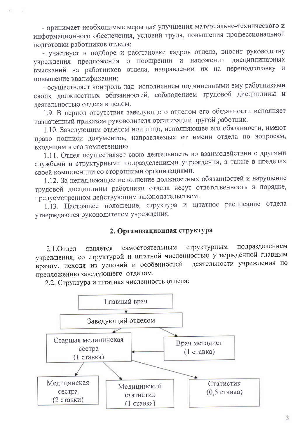- принимает необходимые меры для улучшения материально-технического и информационного обеспечения, условий труда, повышения профессиональной полготовки работников отдела;

- участвует в подборе и расстановке кадров отдела, вносит руководству учреждения предложения о поощрении и наложении дисциплинарных взысканий на работников отдела, направлении их на переподготовку и повышение квалификации;

- осуществляет контроль над исполнением подчиненными ему работниками своих должностных обязанностей, соблюдением трудовой дисциплины и деятельностью отдела в целом.

1.9. В период отсутствия заведующего отделом его обязанности исполняет назначенный приказом руководителя организации другой работник.

1.10. Заведующим отделом или лицо, исполняющее его обязанности, имеют право подписи документов, направляемых от имени отдела по вопросам, входящим в его компетенцию.

1.11. Отдел осуществляет свою деятельность во взаимодействии с другими службами и структурными подразделениями учреждения, а также в пределах своей компетенции со сторонними организациями.

1.12. За ненадлежащее исполнение должностных обязанностей и нарушение трудовой дисциплины работники отдела несут ответственность в порядке, предусмотренном действующим законодательством.

1.13. Настоящее положение, структура и штатное расписание отдела утверждаются руководителем учреждения.

## 2. Организационная структура

подразделением структурным самостоятельным 2.1. Отдел является учреждения, со структурой и штатной численностью утвержденной главным деятельности учреждения по врачом, исходя из условий и особенностей предложению заведующего отделом.

2.2. Структура и штатная численность отдела:

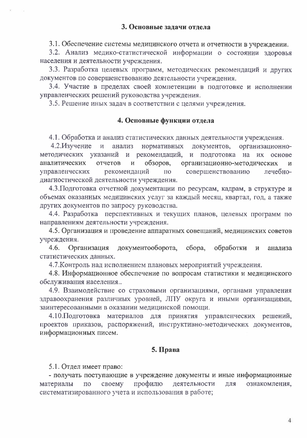3.1. Обеспечение системы медицинского отчета и отчетности в учреждении.

3.2. Анализ медико-статистической информации о состоянии здоровья населения и деятельности учреждения.

3.3. Разработка целевых программ, методических рекомендаций и других документов по совершенствованию деятельности учреждения.

3.4. Участие в пределах своей компетенции в подготовке и исполнении управленческих решений руководства учреждения.

3.5. Решение иных задач в соответствии с целями учреждения.

### 4. Основные функции отдела

4.1. Обработка и анализ статистических данных деятельности учреждения.

4.2. Изучение и анализ нормативных документов, организационнометодических указаний и рекомендаций, и подготовка на их основе обзоров, организационно-методических аналитических отчетов  $\overline{M}$ И совершенствованию управленческих рекомендаций  $\Pi$ O лечебнодиагностической деятельности учреждения.

4.3. Подготовка отчетной документации по ресурсам, кадрам, в структуре и объемах оказанных медицинских услуг за каждый месяц, квартал, год, а также других документов по запросу руководства.

4.4. Разработка перспективных и текущих планов, целевых программ по направлениям деятельности учреждения.

4.5. Организация и проведение аппаратных совещаний, медицинских советов учреждения.

документооборота,  $4.6.$ Организация сбора, обработки  $\overline{M}$ анализа статистических данных.

4.7. Контроль над исполнением плановых мероприятий учреждения.

4.8. Информационное обеспечение по вопросам статистики и медицинского обслуживания населения..

4.9. Взаимодействие со страховыми организациями, органами управления здравоохранения различных уровней, ЛПУ округа и иными организациями, заинтересованными в оказании медицинской помощи.

4.10. Подготовка материалов для принятия управленческих решений, проектов приказов, распоряжений, инструктивно-методических документов, информационных писем.

#### 5. Права

5.1. Отдел имеет право:

- получать поступающие в учреждение документы и иные информационные профилю материалы своему деятельности ДЛЯ ознакомления,  $\Pi\mathbf{O}$ систематизированного учета и использования в работе;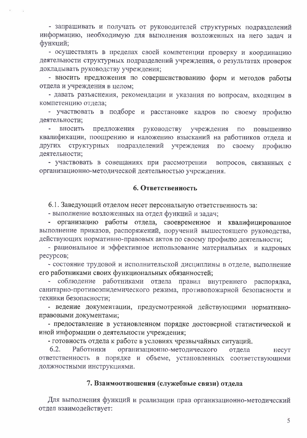- запрашивать и получать от руководителей структурных подразделений информацию, необходимую для выполнения возложенных на него задач и функций;

- осуществлять в пределах своей компетенции проверку и координацию деятельности структурных подразделений учреждения, о результатах проверок докладывать руководству учреждения;

- вносить предложения по совершенствованию форм и методов работы отдела и учреждения в целом;

- давать разъяснения, рекомендации и указания по вопросам, входящим в компетенцию отдела;

- участвовать в подборе и расстановке кадров по своему профилю деятельности;

вносить предложения руководству учреждения  $\Pi$ <sup>o</sup> повышению квалификации, поощрению и наложению взысканий на работников отдела и других структурных подразделений учреждения  $\Pi$ O своему профилю деятельности;

- участвовать в совещаниях при рассмотрении вопросов, связанных с организационно-методической деятельностью учреждения.

#### 6. Ответственность

6.1. Заведующий отделом несет персональную ответственность за:

- выполнение возложенных на отдел функций и задач;

- организацию работы отдела, своевременное и квалифицированное выполнение приказов, распоряжений, поручений вышестоящего руководства, действующих нормативно-правовых актов по своему профилю деятельности;

- рациональное и эффективное использование материальных и кадровых ресурсов;

- состояние трудовой и исполнительской дисциплины в отделе, выполнение его работниками своих функциональных обязанностей;

- соблюдение работниками отдела правил внутреннего распорядка, санитарно-противоэпидемического режима, противопожарной безопасности и техники безопасности;

- ведение документации, предусмотренной действующими нормативноправовыми документами;

- предоставление в установленном порядке достоверной статистической и иной информации о деятельности учреждения;

- готовность отдела к работе в условиях чрезвычайных ситуаций.

 $6.2.$ Работники организационно-методического отдела несут ответственность в порядке и объеме, установленных соответствующими должностными инструкциями.

## 7. Взаимоотношения (служебные связи) отдела

Для выполнения функций и реализации прав организационно-методический отдел взаимодействует: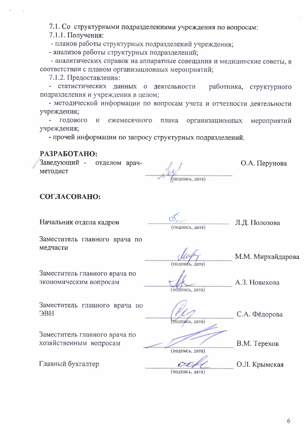7.1. Со структурными подразделениями учреждения по вопросам:

7.1.1. Получения:

- планов работы структурных подразделений учреждения;

- анализов работы структурных подразделений;

- аналитических справок на аппаратные совещания и медицинские советы, в соответствии с планом организационных мероприятий;

7.1.2. Предоставления:

- статистических данных о деятельности работника, структурного подразделения и учреждения в целом;

- методической информации по вопросам учета и отчетности деятельности учреждения;

годового  $\overline{M}$ ежемесячного плана организационных мероприятий учреждения;

- прочей информации по запросу структурных подразделений.

### РАЗРАБОТАНО:

Заведующий отделом врачметодист

подпись, дата)

О.А. Перунова

#### СОГЛАСОВАНО:

Начальник отдела кадров

подпись, дата)

Л.Д. Полозова

Заместитель главного врача по медчасти

Заместитель главного врача по экономическим вопросам

подпись, дата)

А.З. Новикова

М.М. Мирхайдарова

Заместитель главного врача по **JBH** 

С.А. Фёдорова одпись, дата)

Заместитель главного врача по хозяйственным вопросам

Главный бухгалтер

В.М. Терехов

(подпись, дата)

О.Л. Крымская

(подпись, дата)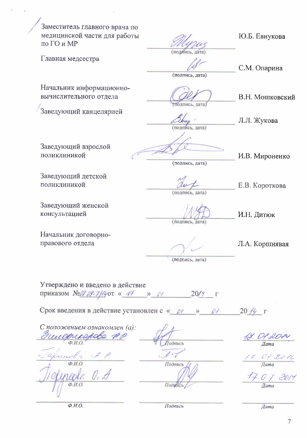Заместитель главного врача по медицинской части для работы по ГО и МР

Ю.Б. Евнукова

Главная медсестра

(подинсь, дата)

С.М. Опарина

Л.Л. Жукова

(подпись, дата)

подпись, дата)

(подпись, дата)

В.Н. Мошковский

Начальник информационновычислительного отдела

Заведующий канцелярией

Заведующий взрослой поликлиникой

(подпись, дата)

И.В. Мироненко

Е.В. Короткова

Заведующий детской поликлиникой

Заведующий женской консультацией

Начальник договорноправового отдела

(подпись, дата)

(подпись, дата)

И.Н. Дитюк

Л.А. Коршнявая

(подпись, дата)

Утверждено и введено в действие приказом №28-09-2/14 от « 44 » 01

 $20/\gamma - \Gamma$ 

Срок введения в действие установлен с « 01  $20/4$   $\Gamma$ 

С положением ознакомлен (а): mucoprossible unoba  $\Phi$ <sub>M</sub>.O.  $\phi$ <sub>H.O</sub>

Подпись Подпись

4. Ol 2014<br>Ilama

 $\frac{14.01}{\pi}$  D.1. 2014

17.0 | 26  $\overline{I}$ ama

Подинсь

Дата